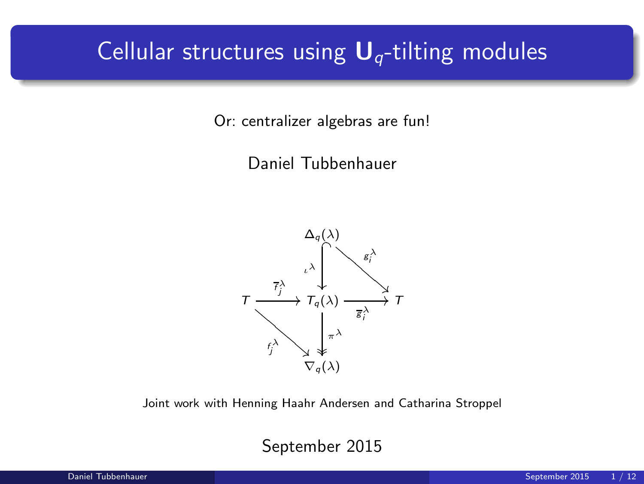## Cellular structures using  $U_q$ -tilting modules

Or: centralizer algebras are fun!

Daniel Tubbenhauer



Joint work with Henning Haahr Andersen and Catharina Stroppel

September 2015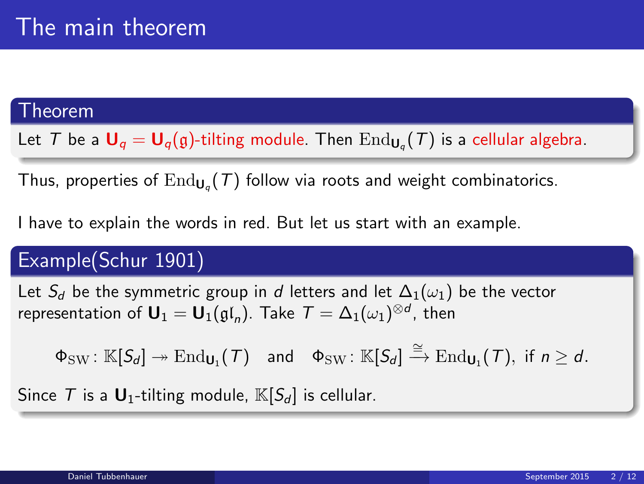## Theorem

Let  $T$  be a  $\mathsf{U}_q = \mathsf{U}_q(\mathfrak{g})$ -tilting module. Then  $\mathrm{End}_{\mathsf{U}_q}(T)$  is a cellular algebra.

Thus, properties of  $\mathrm{End}_{\mathsf{U}_q}(\mathcal{T})$  follow via roots and weight combinatorics.

I have to explain the words in red. But let us start with an example.

## Example(Schur 1901)

Let  $S_d$  be the symmetric group in d letters and let  $\Delta_1(\omega_1)$  be the vector representation of  $\mathbf{U}_1 = \mathbf{U}_1(\mathfrak{gl}_n)$ . Take  $\mathcal{T} = \Delta_1(\omega_1)^{\otimes d}$ , then

 $\Phi_{\mathrm{SW}} \colon \mathbb{K}[S_d] \twoheadrightarrow \mathrm{End}_{\mathsf{U}_1}(\mathcal{T}) \quad \text{and} \quad \Phi_{\mathrm{SW}} \colon \mathbb{K}[S_d] \xrightarrow{\cong} \mathrm{End}_{\mathsf{U}_1}(\mathcal{T}), \text{ if } n \geq d.$ 

Since T is a  $\mathbf{U}_1$ -tilting module,  $\mathbb{K}[S_d]$  is cellular.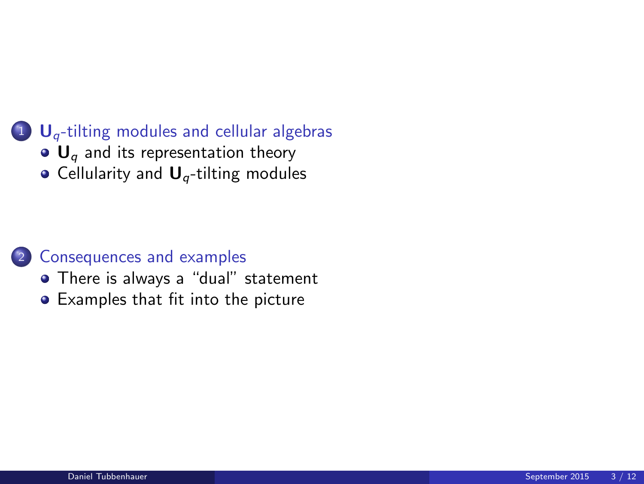## $1$  U<sub>q</sub>[-tilting modules and cellular algebras](#page-3-0)

- $\bullet$  U<sub>a</sub> [and its representation theory](#page-3-0)
- $\bullet$  Cellularity and  $\mathbf{U}_q$ [-tilting modules](#page-7-0)

#### <sup>2</sup> [Consequences and examples](#page-9-0)

- [There is always a "dual" statement](#page-9-0)
- [Examples that fit into the picture](#page-10-0)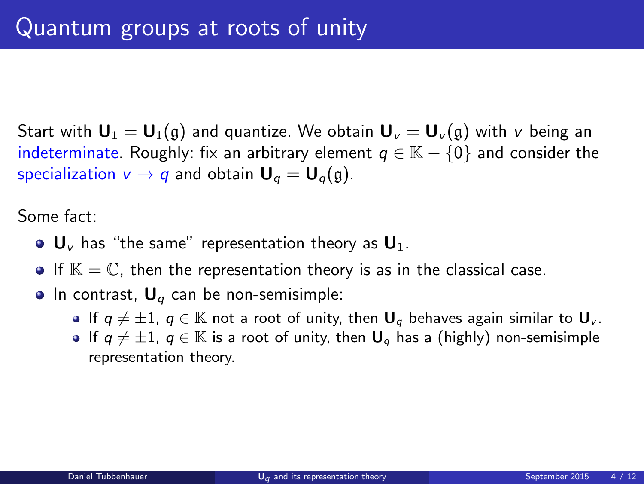Start with  $\mathbf{U}_1 = \mathbf{U}_1(\mathfrak{g})$  and quantize. We obtain  $\mathbf{U}_v = \mathbf{U}_v(\mathfrak{g})$  with v being an indeterminate. Roughly: fix an arbitrary element  $q \in \mathbb{K} - \{0\}$  and consider the specialization  $v \rightarrow q$  and obtain  $U_q = U_q(q)$ .

Some fact:

- $\bullet$  U<sub>v</sub> has "the same" representation theory as U<sub>1</sub>.
- $\bullet$  If  $\mathbb{K} = \mathbb{C}$ , then the representation theory is as in the classical case.
- <span id="page-3-0"></span>• In contrast,  $U_q$  can be non-semisimple:
	- If  $q \neq \pm 1$ ,  $q \in \mathbb{K}$  not a root of unity, then  $\mathbf{U}_q$  behaves again similar to  $\mathbf{U}_v$ .
	- If  $q \neq \pm 1$ ,  $q \in \mathbb{K}$  is a root of unity, then  $\mathbf{U}_q$  has a (highly) non-semisimple representation theory.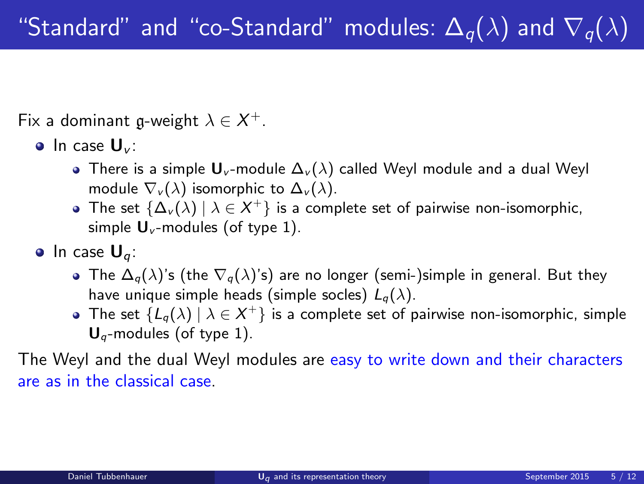Fix a dominant g-weight  $\lambda \in X^+$ .

 $\bullet$  In case  $\mathsf{U}_{\nu}$ :

- There is a simple  $\mathbf{U}_v$ -module  $\Delta_v(\lambda)$  called Weyl module and a dual Weyl module  $\nabla_{\mathbf{v}}(\lambda)$  isomorphic to  $\Delta_{\mathbf{v}}(\lambda)$ .
- The set  $\{\Delta_{\nu}(\lambda)\mid\lambda\in X^{+}\}$  is a complete set of pairwise non-isomorphic, simple  $\mathbf{U}_v$ -modules (of type 1).
- In case  $U_a$ :
	- The  $\Delta_q(\lambda)$ 's (the  $\nabla_q(\lambda)$ 's) are no longer (semi-)simple in general. But they have unique simple heads (simple socles)  $L_q(\lambda)$ .
	- The set  $\{L_q(\lambda) \mid \lambda \in X^+\}$  is a complete set of pairwise non-isomorphic, simple **-modules (of type 1).**

The Weyl and the dual Weyl modules are easy to write down and their characters are as in the classical case.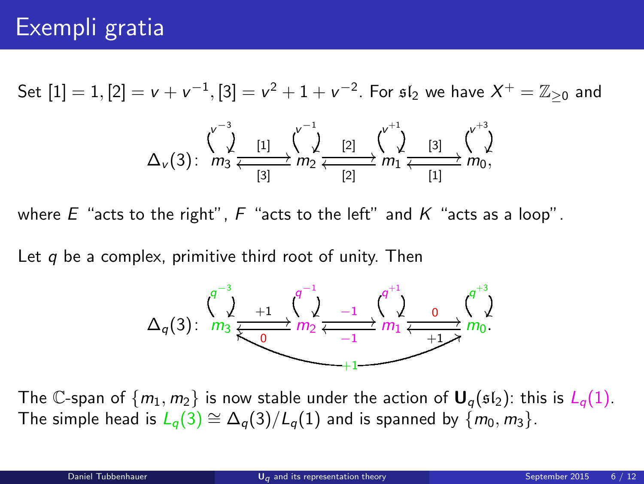# Exempli gratia

Set  $[1]=1, [2]=\nu+\nu^{-1}, [3]=\nu^2+1+\nu^{-2}.$  For  $\mathfrak{sl}_2$  we have  $X^+=\mathbb{Z}_{\geq 0}$  and

$$
\Delta_{\nu}(3): \ \ m_3 \xleftarrow{\gamma^{-3}} \frac{1}{[3]} \xrightarrow{\gamma^{-1}} m_2 \xleftarrow{\gamma^{-1}} \frac{1}{[2]} \xrightarrow{\gamma^{+1}} m_1 \xleftarrow{\gamma^{-1}} \frac{1}{[3]} \xrightarrow{\gamma^{+3}} m_0,
$$

where  $E$  "acts to the right",  $F$  "acts to the left" and  $K$  "acts as a loop".

Let  $q$  be a complex, primitive third root of unity. Then



The C-span of  $\{m_1, m_2\}$  is now stable under the action of  $\mathbf{U}_q(\mathfrak{sl}_2)$ : this is  $L_q(1)$ . The simple head is  $L_q(3) \cong \Delta_q(3)/L_q(1)$  and is spanned by  $\{m_0, m_3\}$ .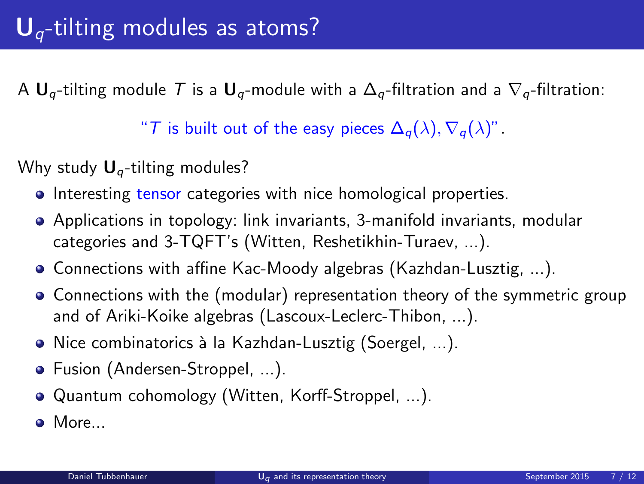A  $U_q$ -tilting module T is a  $U_q$ -module with a  $\Delta_q$ -filtration and a  $\nabla_q$ -filtration:

"T is built out of the easy pieces  $\Delta_q(\lambda)$ ,  $\nabla_q(\lambda)$ ".

Why study  $U_q$ -tilting modules?

- **Interesting tensor categories with nice homological properties.**
- Applications in topology: link invariants, 3-manifold invariants, modular categories and 3-TQFT's (Witten, Reshetikhin-Turaev, ...).
- Connections with affine Kac-Moody algebras (Kazhdan-Lusztig, ...).
- Connections with the (modular) representation theory of the symmetric group and of Ariki-Koike algebras (Lascoux-Leclerc-Thibon, ...).
- . Nice combinatorics à la Kazhdan-Lusztig (Soergel, ...).
- **•** Fusion (Andersen-Stroppel, ...).
- Quantum cohomology (Witten, Korff-Stroppel, ...).
- More...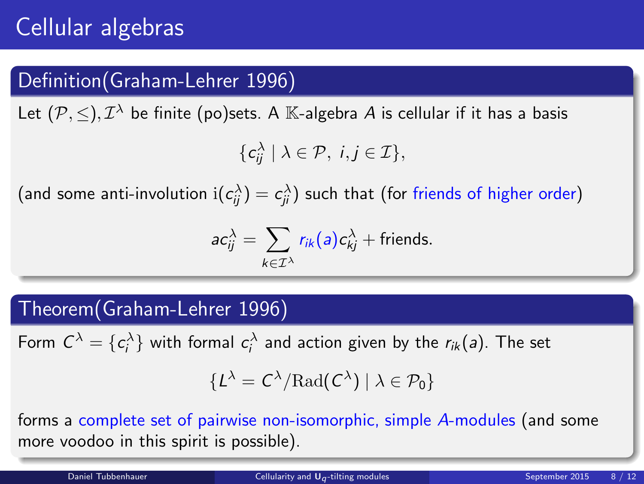## Definition(Graham-Lehrer 1996)

Let  $(\mathcal{P},\leq),\mathcal{I}^{\lambda}$  be finite (po)sets. A  $\mathbb{K}\text{-algebra }A$  is cellular if it has a basis

$$
\{c_{ij}^{\lambda} \mid \lambda \in \mathcal{P}, i,j \in \mathcal{I}\},\
$$

(and some anti-involution  $\mathrm{i}(c_{ij}^\lambda)=c_{ji}^\lambda)$  such that (for friends of higher order)

$$
ac_{ij}^{\lambda} = \sum_{k \in \mathcal{I}^{\lambda}} r_{ik}(a) c_{kj}^{\lambda} + \text{friends.}
$$

## Theorem(Graham-Lehrer 1996)

Form  $C^{\lambda} = \{c_i^{\lambda}\}$  with formal  $c_i^{\lambda}$  and action given by the  $r_{ik}(a)$ . The set

<span id="page-7-0"></span>
$$
\{L^\lambda = C^\lambda/{\rm Rad}(C^\lambda) \mid \lambda \in \mathcal{P}_0\}
$$

forms a complete set of pairwise non-isomorphic, simple A-modules (and some more voodoo in this spirit is possible).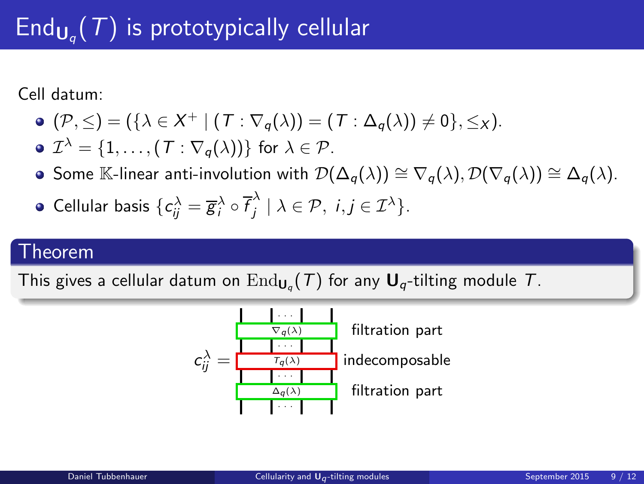# $\mathsf{End}_{\mathsf{U}_q}(\mathcal{T})$  is prototypically cellular

Cell datum:

- $(\mathcal{P}, \leq) = (\{\lambda \in X^+ \mid (T : \nabla_q(\lambda)) = (T : \Delta_q(\lambda)) \neq 0\}, \leq_X).$
- $\mathcal{I}^{\lambda} = \{1,\ldots,(\mathcal{T}:\nabla_{\boldsymbol{q}}(\lambda))\}$  for  $\lambda \in \mathcal{P}$ .
- Some K-linear anti-involution with  $\mathcal{D}(\Delta_q(\lambda)) \cong \nabla_q(\lambda), \mathcal{D}(\nabla_q(\lambda)) \cong \Delta_q(\lambda)$ .
- Cellular basis  $\{c_{ij}^{\lambda}=\overline{g}_{i}^{\lambda}\circ\overline{f}_{j}^{\lambda}\}$  $j \nmid \lambda \in \mathcal{P}, i, j \in \mathcal{I}^{\lambda}$ .

## Theorem

This gives a cellular datum on  $\mathrm{End}_{\mathsf{U}_q}(\mathcal{T})$  for any  $\mathsf{U}_q\text{-tilting}$  module  $\mathcal{T}.$ 

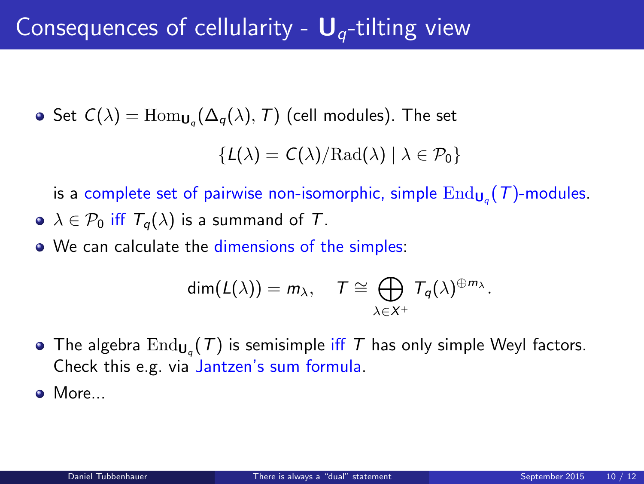# Consequences of cellularity -  $U_q$ -tilting view

Set  $C(\lambda) = \text{Hom}_{\mathbf{U}_q}(\Delta_q(\lambda), T)$  (cell modules). The set

 $\{L(\lambda) = C(\lambda)/\text{Rad}(\lambda) \mid \lambda \in \mathcal{P}_0\}$ 

is a complete set of pairwise non-isomorphic, simple  $\mathrm{End}_{\mathsf{U}_q}(\mathcal{T})$ -modules.

- $\bullet \ \lambda \in \mathcal{P}_0$  iff  $T_a(\lambda)$  is a summand of T.
- We can calculate the dimensions of the simples:

<span id="page-9-0"></span>
$$
\dim(L(\lambda))=m_{\lambda}, \quad T \cong \bigoplus_{\lambda \in X^+} T_q(\lambda)^{\oplus m_{\lambda}}.
$$

- The algebra  $\mathrm{End}_{\mathsf{U}_q}(\mathcal{T})$  is semisimple iff  $\mathcal T$  has only simple Weyl factors. Check this e.g. via Jantzen's sum formula.
- More...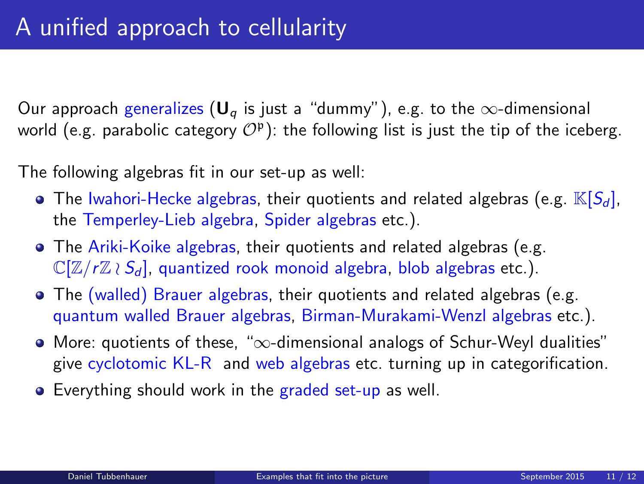Our approach generalizes ( $\mathbf{U}_q$  is just a "dummy"), e.g. to the  $\infty$ -dimensional world (e.g. parabolic category  $\mathcal{O}^\mathfrak{p})$ : the following list is just the tip of the iceberg.

The following algebras fit in our set-up as well:

- **•** The Iwahori-Hecke algebras, their quotients and related algebras (e.g.  $\mathbb{K}[S_d]$ , the Temperley-Lieb algebra, Spider algebras etc.).
- The Ariki-Koike algebras, their quotients and related algebras (e.g.  $\mathbb{C}[\mathbb{Z}/r\mathbb{Z} \setminus S_d]$ , quantized rook monoid algebra, blob algebras etc.).
- The (walled) Brauer algebras, their quotients and related algebras (e.g. quantum walled Brauer algebras, Birman-Murakami-Wenzl algebras etc.).
- More: quotients of these, "∞-dimensional analogs of Schur-Weyl dualities" give cyclotomic KL-R and web algebras etc. turning up in categorification.
- <span id="page-10-0"></span>• Everything should work in the graded set-up as well.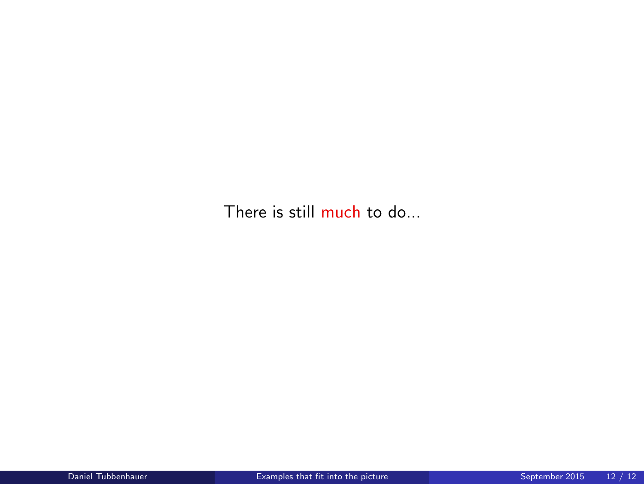There is still much to do...